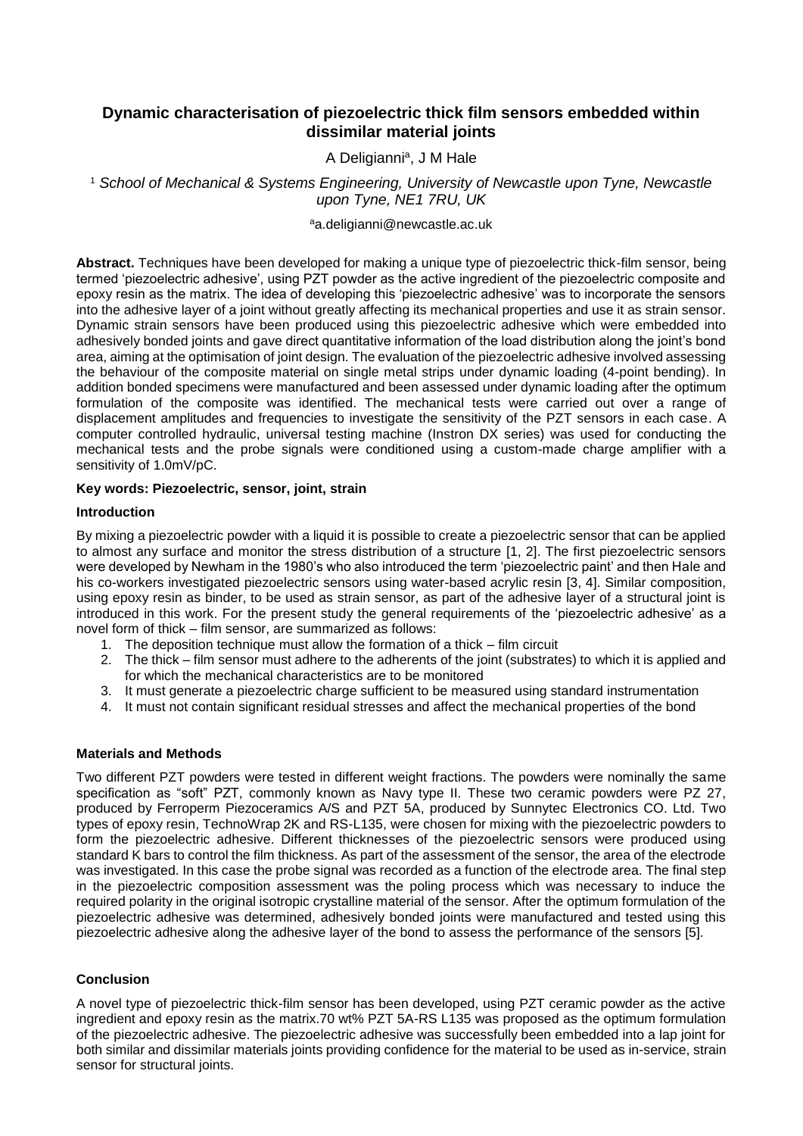# **Dynamic characterisation of piezoelectric thick film sensors embedded within dissimilar material joints**

A Deligianni<sup>a</sup>, J M Hale

<sup>1</sup> *School of Mechanical & Systems Engineering, University of Newcastle upon Tyne, Newcastle upon Tyne, NE1 7RU, UK*

aa.deligianni@newcastle.ac.uk

**Abstract.** Techniques have been developed for making a unique type of piezoelectric thick-film sensor, being termed 'piezoelectric adhesive', using PZT powder as the active ingredient of the piezoelectric composite and epoxy resin as the matrix. The idea of developing this 'piezoelectric adhesive' was to incorporate the sensors into the adhesive layer of a joint without greatly affecting its mechanical properties and use it as strain sensor. Dynamic strain sensors have been produced using this piezoelectric adhesive which were embedded into adhesively bonded joints and gave direct quantitative information of the load distribution along the joint's bond area, aiming at the optimisation of joint design. The evaluation of the piezoelectric adhesive involved assessing the behaviour of the composite material on single metal strips under dynamic loading (4-point bending). In addition bonded specimens were manufactured and been assessed under dynamic loading after the optimum formulation of the composite was identified. The mechanical tests were carried out over a range of displacement amplitudes and frequencies to investigate the sensitivity of the PZT sensors in each case. A computer controlled hydraulic, universal testing machine (Instron DX series) was used for conducting the mechanical tests and the probe signals were conditioned using a custom-made charge amplifier with a sensitivity of 1.0mV/pC.

#### **Key words: Piezoelectric, sensor, joint, strain**

#### **Introduction**

By mixing a piezoelectric powder with a liquid it is possible to create a piezoelectric sensor that can be applied to almost any surface and monitor the stress distribution of a structure [1, 2]. The first piezoelectric sensors were developed by Newham in the 1980's who also introduced the term 'piezoelectric paint' and then Hale and his co-workers investigated piezoelectric sensors using water-based acrylic resin [3, 4]. Similar composition, using epoxy resin as binder, to be used as strain sensor, as part of the adhesive layer of a structural joint is introduced in this work. For the present study the general requirements of the 'piezoelectric adhesive' as a novel form of thick – film sensor, are summarized as follows:

- 1. The deposition technique must allow the formation of a thick film circuit
- 2. The thick film sensor must adhere to the adherents of the joint (substrates) to which it is applied and for which the mechanical characteristics are to be monitored
- 3. It must generate a piezoelectric charge sufficient to be measured using standard instrumentation
- 4. It must not contain significant residual stresses and affect the mechanical properties of the bond

#### **Materials and Methods**

Two different PZT powders were tested in different weight fractions. The powders were nominally the same specification as "soft" PZT, commonly known as Navy type II. These two ceramic powders were PZ 27, produced by Ferroperm Piezoceramics A/S and PZT 5A, produced by Sunnytec Electronics CO. Ltd. Two types of epoxy resin, TechnoWrap 2K and RS-L135, were chosen for mixing with the piezoelectric powders to form the piezoelectric adhesive. Different thicknesses of the piezoelectric sensors were produced using standard K bars to control the film thickness. As part of the assessment of the sensor, the area of the electrode was investigated. In this case the probe signal was recorded as a function of the electrode area. The final step in the piezoelectric composition assessment was the poling process which was necessary to induce the required polarity in the original isotropic crystalline material of the sensor. After the optimum formulation of the piezoelectric adhesive was determined, adhesively bonded joints were manufactured and tested using this piezoelectric adhesive along the adhesive layer of the bond to assess the performance of the sensors [5].

## **Conclusion**

A novel type of piezoelectric thick-film sensor has been developed, using PZT ceramic powder as the active ingredient and epoxy resin as the matrix.70 wt% PZT 5A-RS L135 was proposed as the optimum formulation of the piezoelectric adhesive. The piezoelectric adhesive was successfully been embedded into a lap joint for both similar and dissimilar materials joints providing confidence for the material to be used as in-service, strain sensor for structural joints.